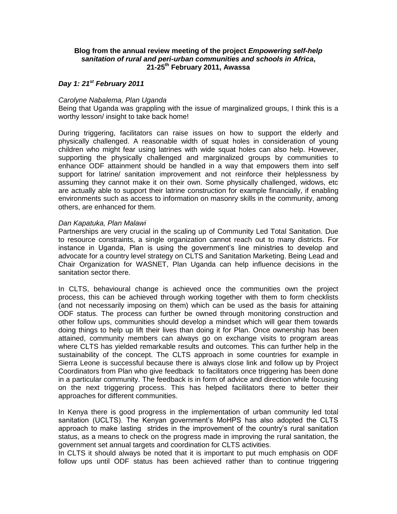### **Blog from the annual review meeting of the project** *Empowering self-help sanitation of rural and peri-urban communities and schools in Africa***, 21-25th February 2011, Awassa**

# *Day 1: 21st February 2011*

#### *Carolyne Nabalema, Plan Uganda*

Being that Uganda was grappling with the issue of marginalized groups, I think this is a worthy lesson/ insight to take back home!

During triggering, facilitators can raise issues on how to support the elderly and physically challenged. A reasonable width of squat holes in consideration of young children who might fear using latrines with wide squat holes can also help. However, supporting the physically challenged and marginalized groups by communities to enhance ODF attainment should be handled in a way that empowers them into self support for latrine/ sanitation improvement and not reinforce their helplessness by assuming they cannot make it on their own. Some physically challenged, widows, etc are actually able to support their latrine construction for example financially, if enabling environments such as access to information on masonry skills in the community, among others, are enhanced for them.

#### *Dan Kapatuka, Plan Malawi*

Partnerships are very crucial in the scaling up of Community Led Total Sanitation. Due to resource constraints, a single organization cannot reach out to many districts. For instance in Uganda, Plan is using the government's line ministries to develop and advocate for a country level strategy on CLTS and Sanitation Marketing. Being Lead and Chair Organization for WASNET, Plan Uganda can help influence decisions in the sanitation sector there.

In CLTS, behavioural change is achieved once the communities own the project process, this can be achieved through working together with them to form checklists (and not necessarily imposing on them) which can be used as the basis for attaining ODF status. The process can further be owned through monitoring construction and other follow ups, communities should develop a mindset which will gear them towards doing things to help up lift their lives than doing it for Plan. Once ownership has been attained, community members can always go on exchange visits to program areas where CLTS has yielded remarkable results and outcomes. This can further help in the sustainability of the concept. The CLTS approach in some countries for example in Sierra Leone is successful because there is always close link and follow up by Project Coordinators from Plan who give feedback to facilitators once triggering has been done in a particular community. The feedback is in form of advice and direction while focusing on the next triggering process. This has helped facilitators there to better their approaches for different communities.

In Kenya there is good progress in the implementation of urban community led total sanitation (UCLTS). The Kenyan government's MoHPS has also adopted the CLTS approach to make lasting strides in the improvement of the country's rural sanitation status, as a means to check on the progress made in improving the rural sanitation, the government set annual targets and coordination for CLTS activities.

In CLTS it should always be noted that it is important to put much emphasis on ODF follow ups until ODF status has been achieved rather than to continue triggering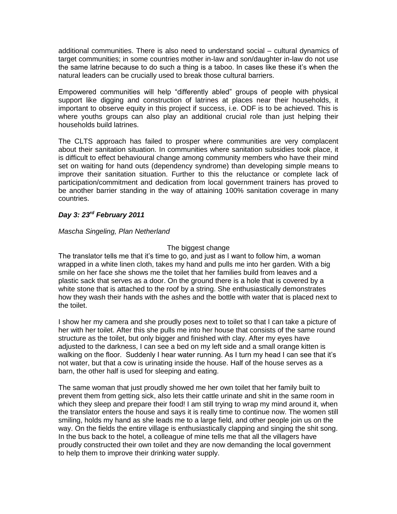additional communities. There is also need to understand social – cultural dynamics of target communities; in some countries mother in-law and son/daughter in-law do not use the same latrine because to do such a thing is a taboo. In cases like these it's when the natural leaders can be crucially used to break those cultural barriers.

Empowered communities will help "differently abled" groups of people with physical support like digging and construction of latrines at places near their households, it important to observe equity in this project if success, i.e. ODF is to be achieved. This is where youths groups can also play an additional crucial role than just helping their households build latrines.

The CLTS approach has failed to prosper where communities are very complacent about their sanitation situation. In communities where sanitation subsidies took place, it is difficult to effect behavioural change among community members who have their mind set on waiting for hand outs (dependency syndrome) than developing simple means to improve their sanitation situation. Further to this the reluctance or complete lack of participation/commitment and dedication from local government trainers has proved to be another barrier standing in the way of attaining 100% sanitation coverage in many countries.

# *Day 3: 23rd February 2011*

## *Mascha Singeling, Plan Netherland*

## The biggest change

The translator tells me that it's time to go, and just as I want to follow him, a woman wrapped in a white linen cloth, takes my hand and pulls me into her garden. With a big smile on her face she shows me the toilet that her families build from leaves and a plastic sack that serves as a door. On the ground there is a hole that is covered by a white stone that is attached to the roof by a string. She enthusiastically demonstrates how they wash their hands with the ashes and the bottle with water that is placed next to the toilet.

I show her my camera and she proudly poses next to toilet so that I can take a picture of her with her toilet. After this she pulls me into her house that consists of the same round structure as the toilet, but only bigger and finished with clay. After my eyes have adjusted to the darkness, I can see a bed on my left side and a small orange kitten is walking on the floor. Suddenly I hear water running. As I turn my head I can see that it's not water, but that a cow is urinating inside the house. Half of the house serves as a barn, the other half is used for sleeping and eating.

The same woman that just proudly showed me her own toilet that her family built to prevent them from getting sick, also lets their cattle urinate and shit in the same room in which they sleep and prepare their food! I am still trying to wrap my mind around it, when the translator enters the house and says it is really time to continue now. The women still smiling, holds my hand as she leads me to a large field, and other people join us on the way. On the fields the entire village is enthusiastically clapping and singing the shit song. In the bus back to the hotel, a colleague of mine tells me that all the villagers have proudly constructed their own toilet and they are now demanding the local government to help them to improve their drinking water supply.